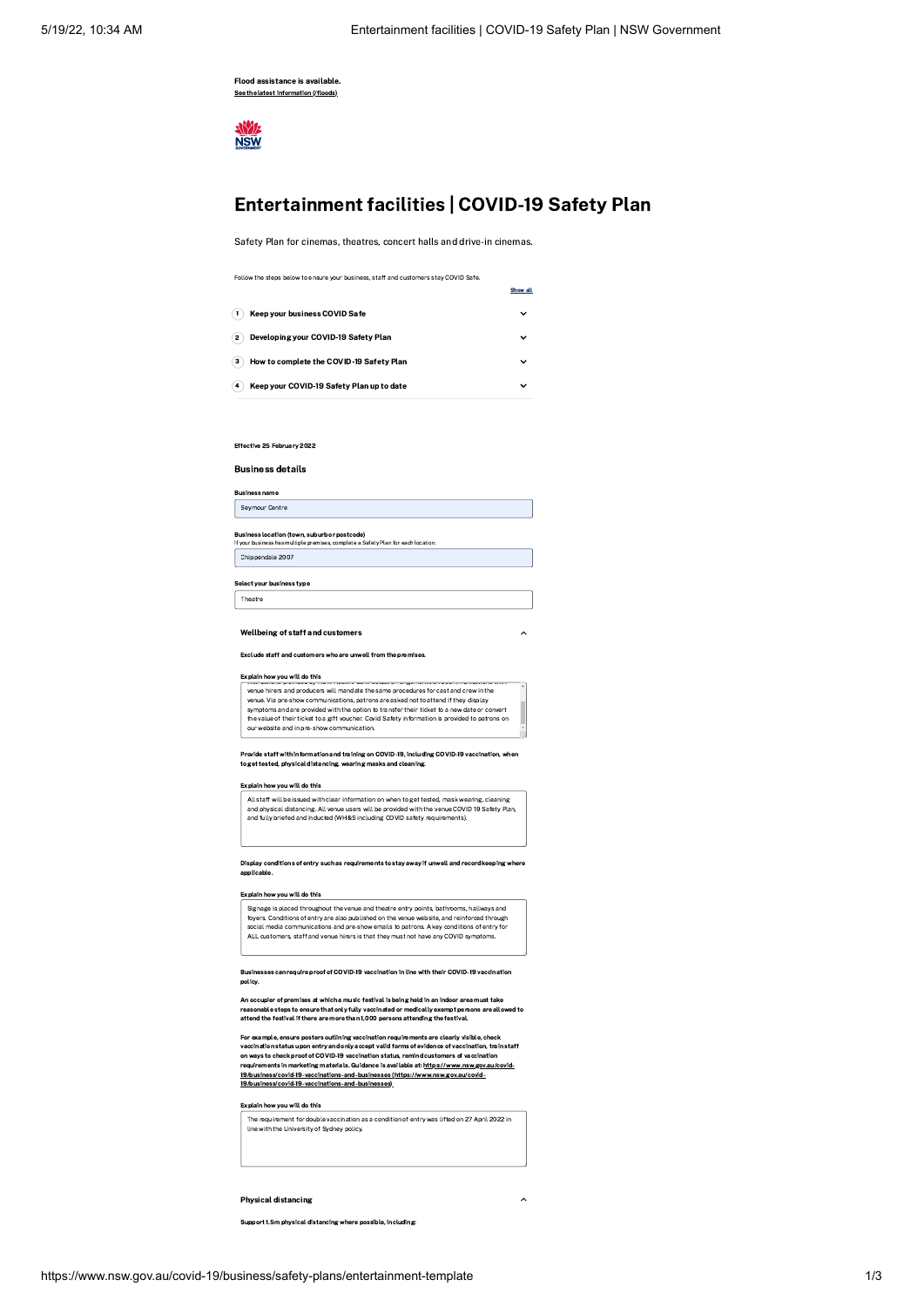Flood assistance is available. See the latest [information](https://www.nsw.gov.au/floods) (/floods)

AW/L **NSW** 

# Entertainment facilities | COVID-19 Safety Plan

Safety Plan for cinemas, theatres, concert halls and drive-in cinemas.

|                                                | Show all    |
|------------------------------------------------|-------------|
| Keep your business COVID Safe                  | $\check{ }$ |
| Developing your COVID-19 Safety Plan<br>2      | $\check{ }$ |
| How to complete the COVID-19 Safety Plan<br>з  | v           |
| Keep your COVID-19 Safety Plan up to date<br>4 | $\check{ }$ |

Effective 25 February 2022

Business details

Business name Seymour Centre

**Business location (town, suburb or postcode)**<br>If your business has multiple premises, complete a Safety Plan for each location.

Chippendale 2007

Select your business type Theatre

Wellbeing of staff and customers

Exclude staff and customers who are unwell from the premises.

#### Explain how you will do this instructions provided by NSW Health. Contractual arrangements and communications with

|                                                                                     | venue hirers and producers will mandate the same procedures for cast and crew in the            |  |
|-------------------------------------------------------------------------------------|-------------------------------------------------------------------------------------------------|--|
| venue. Via pre-show communications, patrons are asked not to attend if they display |                                                                                                 |  |
|                                                                                     | symptoms and are provided with the option to transfer their ticket to a new date or convert     |  |
|                                                                                     | the value of their ticket to a gift voucher. Covid Safety information is provided to patrons on |  |
| our website and in pre-show communication.                                          |                                                                                                 |  |
|                                                                                     |                                                                                                 |  |

Provide staff with information and training on COVID-19, including COVID-19 vaccination, when to get tested, physical distancing, wearing masks and cleaning.

### Explain how you will do this

All staff will be issued with clear information on when to get tested, mask wearing, cleaning<br>and physical distancing. All venue users will be provided with the venue COVID 19 Safety Plan,<br>and fully briefed and inducted (W

Display conditions of entry such as requirements to stay away if unwell and record keeping where applicable.

### Explain how you will do this

Signage is placed throughout the venue and theatre entry points, bathrooms, hallways and foyers. Conditions of entry are also published on the venue website, and reinforced through<br>social media communications and pre-show emails to patrons. A key conditions of entry for<br>ALL customers, staff and venue hirers is

Businesses can require proof of COVID-19 vaccination in line with their COVID-19 vaccination policy.

An occupier of premises at which a music festival is being held in an indoor area must take reasonable steps to ensure that only fully vaccinated or medically exempt persons are allowed to<br>attend the festival if there are more than 1,000 persons attending the festival.

For example, ensure posters outlining vaccination requirements are clearly visible, check vaccination status upon entry and only accept valid forms of evidence of vaccination, train staff<br>on ways to check proof of COVID-19 vaccination status, remind customers of vaccination<br>requirements in marketing materials. [19/business/covid-19-vaccinations-and-businesses\)](https://www.nsw.gov.au/covid-19/business/covid-19-vaccinations-and-businesses)

# Explain how you will do this



### Physical distancing keyboard  $\sim$

Support 1.5m physical distancing where possible, including: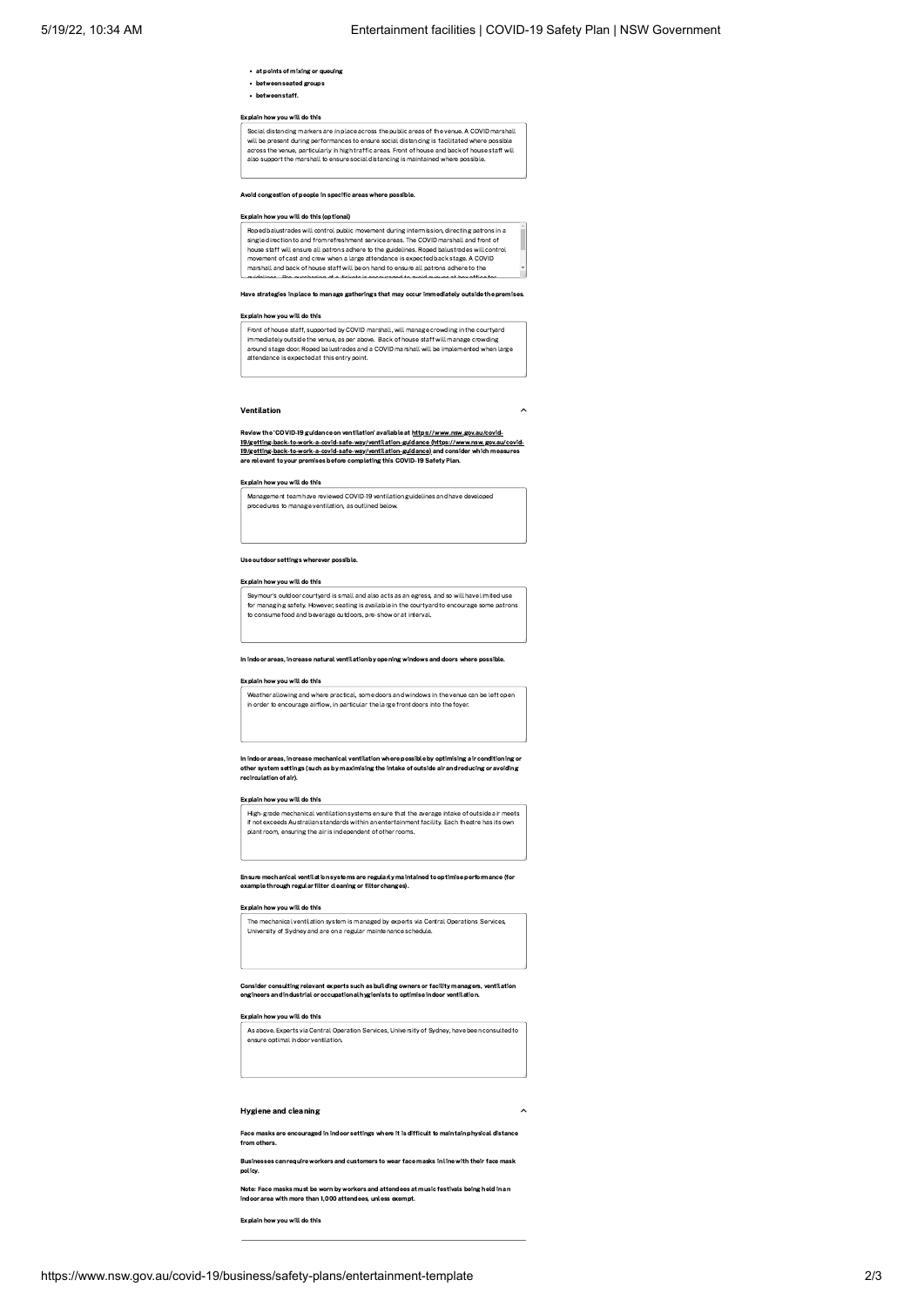- at points of mixing or queuing
- between seated groups
- between staff.

# Explain how you will do this

Social distancing markers are in place across the public areas of the venue. A COVID marshall<br>will be present during performances to ensure social distancing is facilitated where possible across the venue, particularly in high traffic areas. Front of house and back of house staff will also support the marshall to ensure social distancing is maintained where possible.

# Avoid congestion of people in specific areas where possible.

# Explain how you will do this (optional)

Roped balustrades will control public movement during intermission, directing patrons in a single direction to and from refreshment service areas. The COVID marshall and front of house staff will ensure all patrons adhere to the guidelines. Roped balustrades will control movement of cast and crew when a large attendance is expected back stage. A COVID marshall and back of house staff will be on hand to ensure all patrons adhere to the guidelines Pre purchasing of e tickets is encouraged to avoid queues at box office for

Have strategies in place to manage gatherings that may occur immediately outside the premises.

# Explain how you will do this

Front of house staff, supported by COVID marshall, will manage crowding in the courtyard<br>immediately outside the venue, as per above. Back of house staff will manage crowding<br>around stage door. Roped balustrades and a COVI attendance is expected at this entry point.

### Ventilation

Review the 'COVID-19 guidance on ventilation' available at https://www.nsw.gov.au/covid-[19/getting-back-to-work-a-covid-safe-way/ventilation-guidance](https://www.nsw.gov.au/covid-19/getting-back-to-work-a-covid-safe-way/ventilation-guidance) (https://www.nsw.gov.au/covid-19/getting-back-to-work-a-covid-safe-way/ventilation-guidance) and consider which measures re relevant to your premises before completing this COVID-19 Safety Plan.

# Explain how you will do this

Management team have reviewed COVID-19 ventilation guidelines and have developed procedures to manage ventilation, as outlined belo

### Use outdoor settings wherever possible.

# Explain how you will do this

Seymour's outdoor courtyard is small and also acts as an egress, and so will have limited use<br>for managing safety. However, seating is available in the courtyard to encourage some patrons<br>to consume food and beverage outdo

#### In indoor areas, increase natural ventilation by opening windows and doors where possible.

# Explain how you will do this

Weather allowing and where practical, some doors and windows in the venue can be left open in order to encourage airflow, in particular the large front doors into the foyer.

In indoor areas, increase mechanical ventilation where possible by optimising air conditioning or other system settings (such as by maximising the intake of outside air and reducing or avoiding recirculation of air).

### Explain how you will do this

High-grade mechanical ventilation systems ensure that the average intake of outside air meets<br>If not exceeds Australian standards within an entertainment facility. Each theatre has its own<br>plant room, ensuring the air is i

### Ensure mechanical ventilation systems are regularly maintained to optimise performance (for example through regular filter cleaning or filter changes).

# Explain how you will do this

The mechanical ventilation system is managed by experts via Central Operations Services,<br>University of Sydney and are on a regular maintenance schedule.

### Consider consulting relevant experts such as building owners or facility managers, ventilation engineers and industrial or occupational hygienists to optimise indoor ventilation.

### Explain how you will do this

As above. Experts via Central Operation Services, University of Sydney, have been consulted to  $\begin{bmatrix} \bullet & \bullet & \bullet \\ \bullet & \bullet & \bullet & \bullet \end{bmatrix}$ 

# Hygiene and cleaning

Face masks are encouraged in indoor settings where it is difficult to maintain physical distance from others.

Businesses can require workers and customers to wear face masks in line with their face mask policy.

Note: Face masks must be worn by workers and attendees at music festivals being held in an indoor area with more than 1,000 attendees, unless exempt.

Explain how you will do this